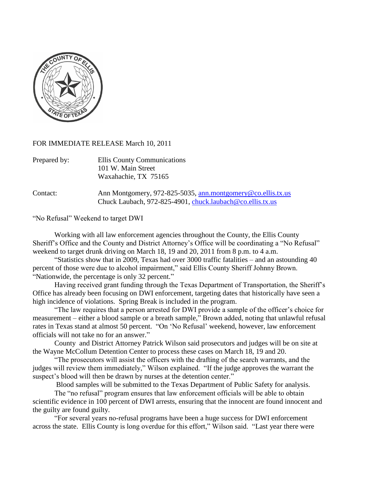

## FOR IMMEDIATE RELEASE March 10, 2011

| Prepared by: | Ellis County Communications |
|--------------|-----------------------------|
|              | 101 W. Main Street          |
|              | Waxahachie, TX 75165        |

Contact: Ann Montgomery, 972-825-5035, [ann.montgomery@co.ellis.tx.us](mailto:ann.montgomery@co.ellis.tx.us) Chuck Laubach, 972-825-4901, [chuck.laubach@co.ellis.tx.us](mailto:chuck.laubach@co.ellis.tx.us)

"No Refusal" Weekend to target DWI

Working with all law enforcement agencies throughout the County, the Ellis County Sheriff"s Office and the County and District Attorney"s Office will be coordinating a "No Refusal" weekend to target drunk driving on March 18, 19 and 20, 2011 from 8 p.m. to 4 a.m.

"Statistics show that in 2009, Texas had over 3000 traffic fatalities – and an astounding 40 percent of those were due to alcohol impairment," said Ellis County Sheriff Johnny Brown. "Nationwide, the percentage is only 32 percent."

Having received grant funding through the Texas Department of Transportation, the Sheriff"s Office has already been focusing on DWI enforcement, targeting dates that historically have seen a high incidence of violations. Spring Break is included in the program.

"The law requires that a person arrested for DWI provide a sample of the officer"s choice for measurement – either a blood sample or a breath sample," Brown added, noting that unlawful refusal rates in Texas stand at almost 50 percent. "On "No Refusal" weekend, however, law enforcement officials will not take no for an answer."

County and District Attorney Patrick Wilson said prosecutors and judges will be on site at the Wayne McCollum Detention Center to process these cases on March 18, 19 and 20.

"The prosecutors will assist the officers with the drafting of the search warrants, and the judges will review them immediately," Wilson explained. "If the judge approves the warrant the suspect's blood will then be drawn by nurses at the detention center."

Blood samples will be submitted to the Texas Department of Public Safety for analysis.

The "no refusal" program ensures that law enforcement officials will be able to obtain scientific evidence in 100 percent of DWI arrests, ensuring that the innocent are found innocent and the guilty are found guilty.

"For several years no-refusal programs have been a huge success for DWI enforcement across the state. Ellis County is long overdue for this effort," Wilson said. "Last year there were